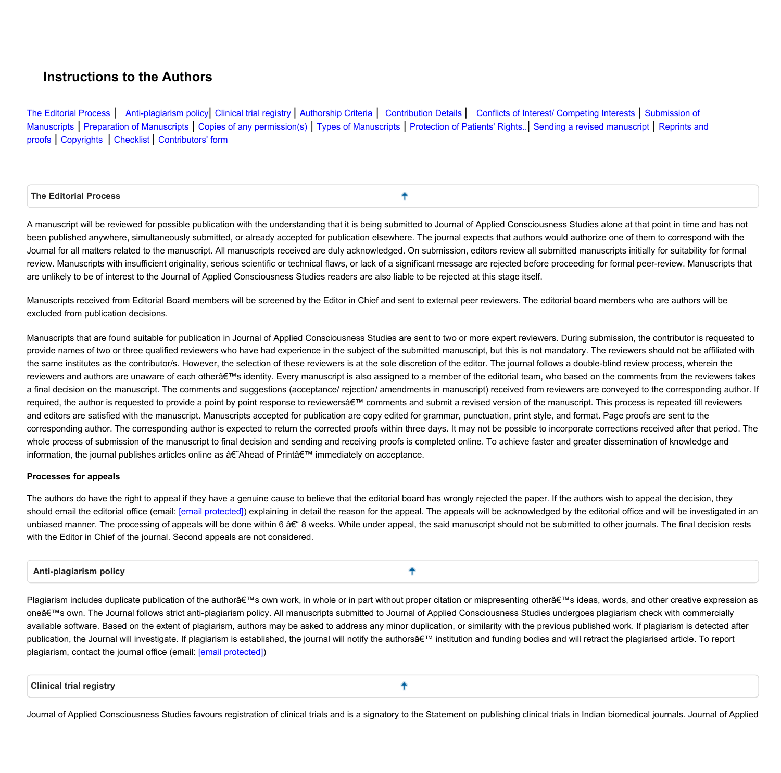# **Instructions to the Authors**

[The](#page-0-0) [Editorial](#page-0-0) [Process](#page-0-0) | [Anti-plagiarism](#page-0-1) [policy](#page-0-1) | [Clinical](#page-0-2) [trial](#page-0-2) [registry](#page-0-2) [|](#page-0-2) [Authorship](#page-1-0) [Criteria](#page-1-0) | [Contribution](#page-1-1) [Details](#page-1-1) | [Conflicts](#page-1-2) [of](#page-1-3) [Interest/](#page-1-2) [Competing](#page-1-2) [Interests](#page-1-2) | [Submission](#page-1-3) of [Manuscripts](#page-15-0) | [Preparation](#page-2-0) [of](#page-17-0) Manuscripts | [Copies](#page-14-0) of [any](#page-14-0) [permission\(s\)](#page-14-0) | [Types](#page-15-0) of Manuscripts | [Protection](#page-17-0) of [Patients'](#page-17-0) [Rights..](#page-17-0) | [Sending](#page-17-1) [a](#page-17-1) [revised](#page-17-1) [manuscript](#page-17-1) | [Reprints](#page-18-0) [and](#page-18-0) **[proofs](#page-18-0) | [Copyrights](#page-18-1) | [Checklist](#page-18-2) | [Contributors'](#page-19-0) [form](#page-19-0)**

# <span id="page-0-0"></span>**The Editorial Process**

A manuscript will be reviewed for possible publication with the understanding that it is being submitted to Journal of Applied Consciousness Studies alone at that point in time and has not been published anywhere, simultaneously submitted, or already accepted for publication elsewhere. The journal expects that authors would authorize one of them to correspond with the Journal for all matters related to the manuscript. All manuscripts received are duly acknowledged. On submission, editors review all submitted manuscripts initially for suitability for formal review. Manuscripts with insufficient originality, serious scientific or technical flaws, or lack of a significant message are rejected before proceeding for formal peer-review. Manuscripts that are unlikely to be of interest to the Journal of Applied Consciousness Studies readers are also liable to be rejected at this stage itself.

٠

Manuscripts received from Editorial Board members will be screened by the Editor in Chief and sent to external peer reviewers. The editorial board members who are authors will be **excluded from publication decisions.**

Manuscripts that are found suitable for publication in Journal of Applied Consciousness Studies are sent to two or more expert reviewers. During submission, the contributor is requested to provide names of two or three qualified reviewers who have had experience in the subject of the submitted manuscript, but this is not mandatory. The reviewers should not be affiliated with the same institutes as the contributor/s. However, the selection of these reviewers is at the sole discretion of the editor. The journal follows a double-blind review process, wherein the reviewers and authors are unaware of each other's identity. Every manuscript is also assigned to a member of the editorial team, who based on the comments from the reviewers takes a final decision on the manuscript. The comments and suggestions (acceptance/ rejection/ amendments in manuscript) received from reviewers are conveyed to the corresponding author. If required, the author is requested to provide a point by point response to reviewers' comments and submit a revised version of the manuscript. This process is repeated till reviewers and editors are satisfied with the manuscript. Manuscripts accepted for publication are copy edited for grammar, punctuation, print style, and format. Page proofs are sent to the corresponding author. The corresponding author is expected to return the corrected proofs within three days. It may not be possible to incorporate corrections received after that period. The whole process of submission of the manuscript to final decision and sending and receiving proofs is completed online. To achieve faster and greater dissemination of knowledge and **information, the journal publishes articles online as 'Ahead of Print' immediately on acceptance.**

## **Processes for appeals**

The authors do have the right to appeal if they have a genuine cause to believe that the editorial board has wrongly rejected the paper. If the authors wish to appeal the decision, they should email the editorial office (email: [\[email protected\]\)](http://jacsonline.in/cdn-cgi/l/email-protection) explaining in detail the reason for the appeal. The appeals will be acknowledged by the editorial office and will be investigated in an unbiased manner. The processing of appeals will be done within 6 â€" 8 weeks. While under appeal, the said manuscript should not be submitted to other journals. The final decision rests **with the Editor in Chief of the journal. Second appeals are not considered.**

٠

### <span id="page-0-1"></span>**Anti-plagiarism policy**

Plagiarism includes duplicate publication of the author's own work, in whole or in part without proper citation or mispresenting other's ideas, words, and other creative expression as one's own. The Journal follows strict anti-plagiarism policy. All manuscripts submitted to Journal of Applied Consciousness Studies undergoes plagiarism check with commercially available software. Based on the extent of plagiarism, authors may be asked to address any minor duplication, or similarity with the previous published work. If plagiarism is detected after publication, the Journal will investigate. If plagiarism is established, the journal will notify the authors' institution and funding bodies and will retract the plagiarised article. To report **plagiarism, contact the journal office (email: [\[email protected\]\)](http://jacsonline.in/cdn-cgi/l/email-protection)**

<span id="page-0-2"></span>**Clinical trial registry**

Journal of Applied Consciousness Studies favours registration of clinical trials and is a signatory to the Statement on publishing clinical trials in Indian biomedical journals. Journal of Applied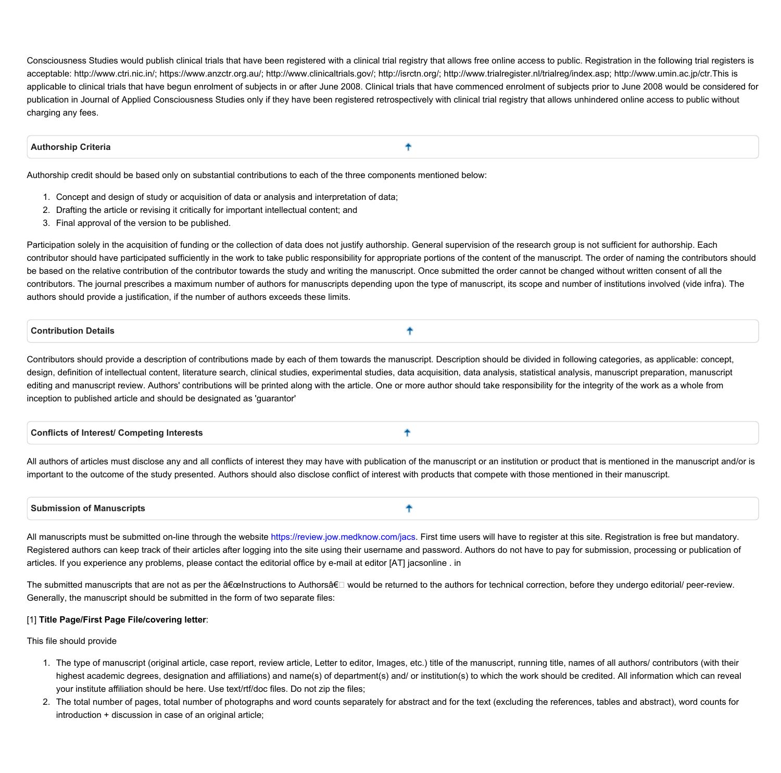Consciousness Studies would publish clinical trials that have been registered with a clinical trial registry that allows free online access to public. Registration in the following trial registers is acceptable: http://www.ctri.nic.in/; https://www.anzctr.org.au/; http://www.clinicaltrials.gov/; http://isrctn.org/; http://www.trialregister.nl/trialreg/index.asp; http://www.umin.ac.jp/ctr.This is applicable to clinical trials that have begun enrolment of subjects in or after June 2008. Clinical trials that have commenced enrolment of subjects prior to June 2008 would be considered for publication in Journal of Applied Consciousness Studies only if they have been registered retrospectively with clinical trial registry that allows unhindered online access to public without **charging any fees.**

↟

#### <span id="page-1-0"></span>**Authorship Criteria**

Authorship credit should be based only on substantial contributions to each of the three components mentioned below:

- **1. Concept and design of study or acquisition of data or analysis and interpretation of data;**
- **2. Drafting the article or revising it critically for important intellectual content; and**
- **3. Final approval of the version to be published.**

Participation solely in the acquisition of funding or the collection of data does not justify authorship. General supervision of the research group is not sufficient for authorship. Each contributor should have participated sufficiently in the work to take public responsibility for appropriate portions of the content of the manuscript. The order of naming the contributors should be based on the relative contribution of the contributor towards the study and writing the manuscript. Once submitted the order cannot be changed without written consent of all the contributors. The journal prescribes a maximum number of authors for manuscripts depending upon the type of manuscript, its scope and number of institutions involved (vide infra). The **authors should provide a justification, if the number of authors exceeds these limits.**

<span id="page-1-1"></span>

| $\mathsf{L}$ Contribution Details |  |
|-----------------------------------|--|
|                                   |  |

Contributors should provide a description of contributions made by each of them towards the manuscript. Description should be divided in following categories, as applicable: concept, design, definition of intellectual content, literature search, clinical studies, experimental studies, data acquisition, data analysis, statistical analysis, manuscript preparation, manuscript editing and manuscript review. Authors' contributions will be printed along with the article. One or more author should take responsibility for the integrity of the work as a whole from **inception to published article and should be designated as 'guarantor'**

<span id="page-1-2"></span>ቶ **Conflicts of Interest/ Competing Interests**

All authors of articles must disclose any and all conflicts of interest they may have with publication of the manuscript or an institution or product that is mentioned in the manuscript and/or is important to the outcome of the study presented. Authors should also disclose conflict of interest with products that compete with those mentioned in their manuscript.

<span id="page-1-3"></span>

| <b>Submission of Manuscripts</b> |  |
|----------------------------------|--|
|                                  |  |

All manuscripts must be submitted on-line through the website [https://review.jow.medknow.com/jacs.](https://review.jow.medknow.com/jacs) First time users will have to register at this site. Registration is free but mandatory. Registered authors can keep track of their articles after logging into the site using their username and password. Authors do not have to pay for submission, processing or publication of articles. If you experience any problems, please contact the editorial office by e-mail at editor [AT] jacsonline . in

The submitted manuscripts that are not as per the "Instructions to Authorsâ€□ would be returned to the authors for technical correction, before they undergo editorial/ peer-review. **Generally, the manuscript should be submitted in the form of two separate files:**

### **[1] Title Page/First Page File/covering letter:**

**This file should provide**

- 1. The type of manuscript (original article, case report, review article, Letter to editor, Images, etc.) title of the manuscript, running title, names of all authors/ contributors (with their highest academic degrees, designation and affiliations) and name(s) of department(s) and/ or institution(s) to which the work should be credited. All information which can reveal **your institute affiliation should be here. Use text/rtf/doc files. Do not zip the files;**
- 2. The total number of pages, total number of photographs and word counts separately for abstract and for the text (excluding the references, tables and abstract), word counts for **introduction + discussion in case of an original article;**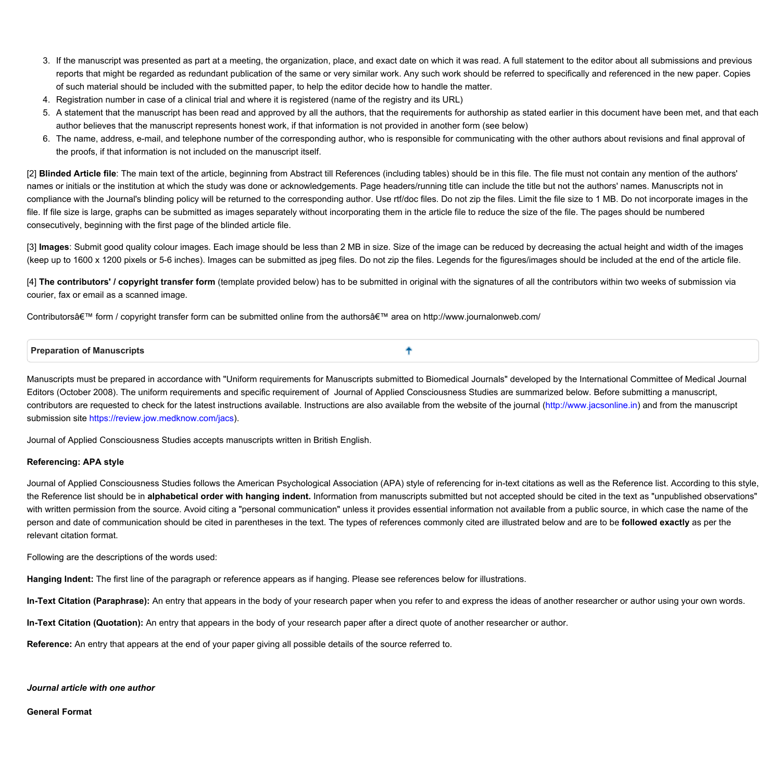- 3. If the manuscript was presented as part at a meeting, the organization, place, and exact date on which it was read. A full statement to the editor about all submissions and previous reports that might be regarded as redundant publication of the same or very similar work. Any such work should be referred to specifically and referenced in the new paper. Copies of such material should be included with the submitted paper, to help the editor decide how to handle the matter.
- 4. Registration number in case of a clinical trial and where it is registered (name of the registry and its URL)
- 5. A statement that the manuscript has been read and approved by all the authors, that the requirements for authorship as stated earlier in this document have been met, and that each author believes that the manuscript represents honest work, if that information is not provided in another form (see below)
- 6. The name, address, e-mail, and telephone number of the corresponding author, who is responsible for communicating with the other authors about revisions and final approval of **the proofs, if that information is not included on the manuscript itself.**

[2] Blinded Article file: The main text of the article, beginning from Abstract till References (including tables) should be in this file. The file must not contain any mention of the authors' names or initials or the institution at which the study was done or acknowledgements. Page headers/running title can include the title but not the authors' names. Manuscripts not in compliance with the Journal's blinding policy will be returned to the corresponding author. Use rtf/doc files. Do not zip the files. Limit the file size to 1 MB. Do not incorporate images in the file. If file size is large, graphs can be submitted as images separately without incorporating them in the article file to reduce the size of the file. The pages should be numbered **consecutively, beginning with the first page of the blinded article file.**

[3] Images: Submit good quality colour images. Each image should be less than 2 MB in size. Size of the image can be reduced by decreasing the actual height and width of the images (keep up to 1600 x 1200 pixels or 5-6 inches). Images can be submitted as jpeg files. Do not zip the files. Legends for the figures/images should be included at the end of the article file.

[4] The contributors' / copyright transfer form (template provided below) has to be submitted in original with the signatures of all the contributors within two weeks of submission via **courier, fax or email as a scanned image.**

Contributors' form / copyright transfer form can be submitted online from the authors' area on http://www.journalonweb.com/

<span id="page-2-0"></span>**Preparation of Manuscripts** ٠

Manuscripts must be prepared in accordance with "Uniform requirements for Manuscripts submitted to Biomedical Journals" developed by the International Committee of Medical Journal Editors (October 2008). The uniform requirements and specific requirement of Journal of Applied Consciousness Studies are summarized below. Before submitting a manuscript, contributors are requested to check for the latest instructions available. Instructions are also available from the website of the journal ([http://www.jacsonline.in\)](http://www.jacsonline.in) and from the manuscript **submission site [https://review.jow.medknow.com/jacs\)](https://review.jow.medknow.com/jacs).**

**Journal of Applied Consciousness Studies accepts manuscripts written in British English.**

### **Referencing: APA style**

Journal of Applied Consciousness Studies follows the American Psychological Association (APA) style of referencing for in-text citations as well as the Reference list. According to this style, the Reference list should be in alphabetical order with hanging indent. Information from manuscripts submitted but not accepted should be cited in the text as "unpublished observations" with written permission from the source. Avoid citing a "personal communication" unless it provides essential information not available from a public source, in which case the name of the person and date of communication should be cited in parentheses in the text. The types of references commonly cited are illustrated below and are to be followed exactly as per the **relevant citation format.**

**Following are the descriptions of the words used:**

Hanging Indent: The first line of the paragraph or reference appears as if hanging. Please see references below for illustrations.

In-Text Citation (Paraphrase): An entry that appears in the body of your research paper when you refer to and express the ideas of another researcher or author using your own words.

In-Text Citation (Quotation): An entry that appears in the body of your research paper after a direct quote of another researcher or author.

Reference: An entry that appears at the end of your paper giving all possible details of the source referred to.

*Journal article with one author*

**General Format**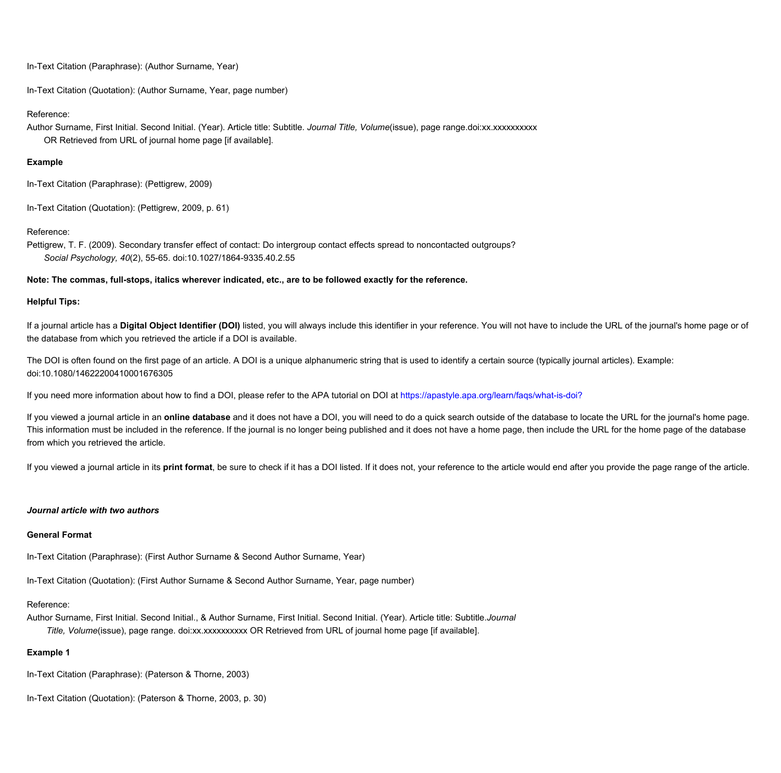**In-Text Citation (Paraphrase): (Author Surname, Year)**

**In-Text Citation (Quotation): (Author Surname, Year, page number)**

# **Reference:**

Author Surname, First Initial. Second Initial. (Year). Article title: Subtitle. Journal Title, Volume(issue), page range.doi:xx.xxxxxxxxxx  **OR Retrieved from URL of journal home page [if available].**

### **Example**

**In-Text Citation (Paraphrase): (Pettigrew, 2009)**

**In-Text Citation (Quotation): (Pettigrew, 2009, p. 61)**

### **Reference:**

Pettigrew, T. F. (2009). Secondary transfer effect of contact: Do intergroup contact effects spread to noncontacted outgroups? *Social Psychology, 40***(2), 55-65. doi:10.1027/1864-9335.40.2.55**

**Note: The commas, full-stops, italics wherever indicated, etc., are to be followed exactly for the reference.**

### **Helpful Tips:**

If a journal article has a Digital Object Identifier (DOI) listed, you will always include this identifier in your reference. You will not have to include the URL of the journal's home page or of **the database from which you retrieved the article if a DOI is available.**

The DOI is often found on the first page of an article. A DOI is a unique alphanumeric string that is used to identify a certain source (typically journal articles). Example: **doi:10.1080/14622200410001676305**

If you need more information about how to find a DOI, please refer to the APA tutorial on DOI at<https://apastyle.apa.org/learn/faqs/what-is-doi?>

If you viewed a journal article in an online database and it does not have a DOI, you will need to do a quick search outside of the database to locate the URL for the journal's home page. This information must be included in the reference. If the journal is no longer being published and it does not have a home page, then include the URL for the home page of the database **from which you retrieved the article.**

If you viewed a journal article in its print format, be sure to check if it has a DOI listed. If it does not, your reference to the article would end after you provide the page range of the article.

# *Journal article with two authors*

### **General Format**

**In-Text Citation (Paraphrase): (First Author Surname & Second Author Surname, Year)**

**In-Text Citation (Quotation): (First Author Surname & Second Author Surname, Year, page number)**

# **Reference:**

Author Surname, First Initial. Second Initial., & Author Surname, First Initial. Second Initial. (Year). Article title: Subtitle.Journal  *Title, Volume***(issue), page range. doi:xx.xxxxxxxxxx OR Retrieved from URL of journal home page [if available].**

### **Example 1**

**In-Text Citation (Paraphrase): (Paterson & Thorne, 2003)**

**In-Text Citation (Quotation): (Paterson & Thorne, 2003, p. 30)**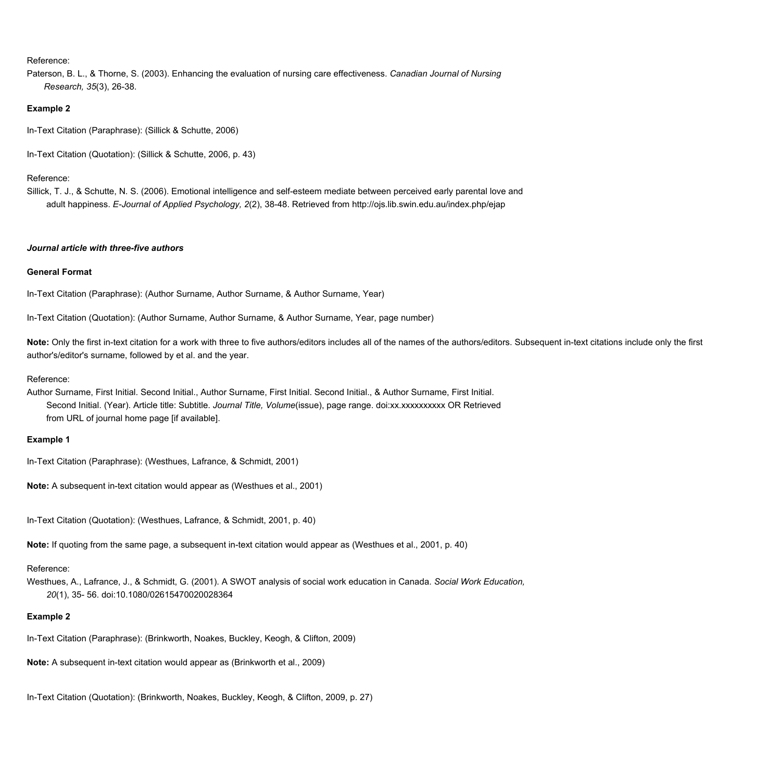### **Reference:**

Paterson, B. L., & Thorne, S. (2003). Enhancing the evaluation of nursing care effectiveness. Canadian Journal of Nursing  *Research, 35***(3), 26-38.**

### **Example 2**

**In-Text Citation (Paraphrase): (Sillick & Schutte, 2006)**

**In-Text Citation (Quotation): (Sillick & Schutte, 2006, p. 43)**

### **Reference:**

Sillick, T. J., & Schutte, N. S. (2006). Emotional intelligence and self-esteem mediate between perceived early parental love and  **adult happiness.** *E-Journal of Applied Psychology, 2***(2), 38-48. Retrieved from http://ojs.lib.swin.edu.au/index.php/ejap**

# *Journal article with three-five authors*

### **General Format**

**In-Text Citation (Paraphrase): (Author Surname, Author Surname, & Author Surname, Year)**

**In-Text Citation (Quotation): (Author Surname, Author Surname, & Author Surname, Year, page number)**

Note: Only the first in-text citation for a work with three to five authors/editors includes all of the names of the authors/editors. Subsequent in-text citations include only the first **author's/editor's surname, followed by et al. and the year.**

### **Reference:**

Author Surname, First Initial. Second Initial., Author Surname, First Initial. Second Initial., & Author Surname, First Initial. Second Initial. (Year). Article title: Subtitle. Journal Title, Volume(issue), page range. doi:xx.xxxxxxxxx OR Retrieved  **from URL of journal home page [if available].**

### **Example 1**

**In-Text Citation (Paraphrase): (Westhues, Lafrance, & Schmidt, 2001)**

**Note: A subsequent in-text citation would appear as (Westhues et al., 2001)**

**In-Text Citation (Quotation): (Westhues, Lafrance, & Schmidt, 2001, p. 40)**

Note: If quoting from the same page, a subsequent in-text citation would appear as (Westhues et al., 2001, p. 40)

#### **Reference:**

Westhues, A., Lafrance, J., & Schmidt, G. (2001). A SWOT analysis of social work education in Canada. Social Work Education,  *20***(1), 35- 56. doi:10.1080/02615470020028364**

### **Example 2**

**In-Text Citation (Paraphrase): (Brinkworth, Noakes, Buckley, Keogh, & Clifton, 2009)**

**Note: A subsequent in-text citation would appear as (Brinkworth et al., 2009)**

**In-Text Citation (Quotation): (Brinkworth, Noakes, Buckley, Keogh, & Clifton, 2009, p. 27)**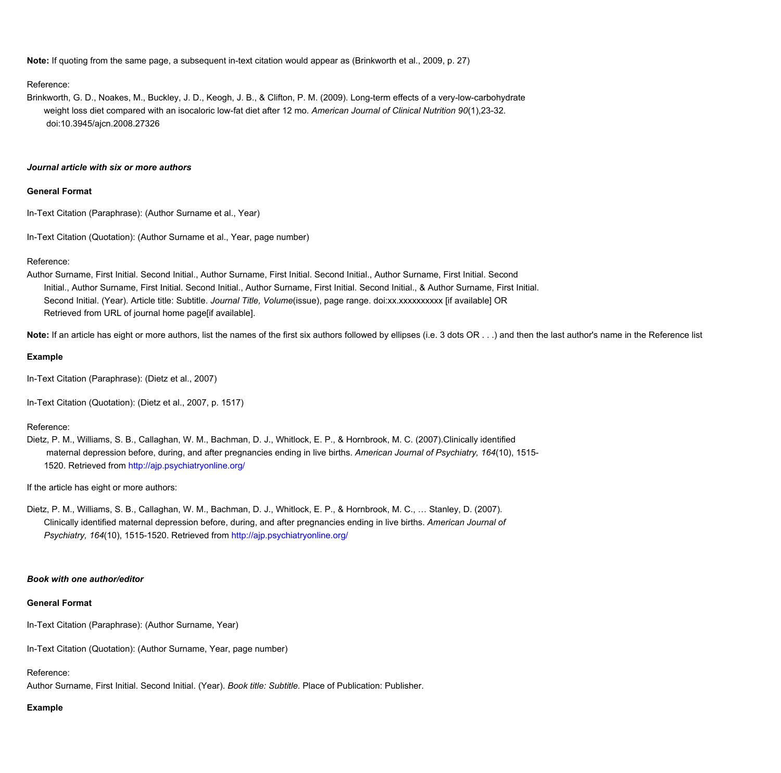Note: If quoting from the same page, a subsequent in-text citation would appear as (Brinkworth et al., 2009, p. 27)

### **Reference:**

Brinkworth, G. D., Noakes, M., Buckley, J. D., Keogh, J. B., & Clifton, P. M. (2009). Long-term effects of a very-low-carbohydrate weight loss diet compared with an isocaloric low-fat diet after 12 mo. American Journal of Clinical Nutrition 90(1),23-32.  **doi:10.3945/ajcn.2008.27326**

### *Journal article with six or more authors*

### **General Format**

**In-Text Citation (Paraphrase): (Author Surname et al., Year)**

**In-Text Citation (Quotation): (Author Surname et al., Year, page number)**

### **Reference:**

Author Surname, First Initial. Second Initial., Author Surname, First Initial. Second Initial., Author Surname, First Initial. Second Initial., Author Surname, First Initial. Second Initial., Author Surname, First Initial. Second Initial., & Author Surname, First Initial. Second Initial. (Year). Article title: Subtitle. Journal Title, Volume(issue), page range. doi:xx.xxxxxxxxxx [if available] OR  **Retrieved from URL of journal home page[if available].**

Note: If an article has eight or more authors, list the names of the first six authors followed by ellipses (i.e. 3 dots OR . . .) and then the last author's name in the Reference list

### **Example**

**In-Text Citation (Paraphrase): (Dietz et al., 2007)**

**In-Text Citation (Quotation): (Dietz et al., 2007, p. 1517)**

### **Reference:**

Dietz, P. M., Williams, S. B., Callaghan, W. M., Bachman, D. J., Whitlock, E. P., & Hornbrook, M. C. (2007).Clinically identified maternal depression before, during, and after pregnancies ending in live births. American Journal of Psychiatry, 164(10), 1515- **1520. Retrieved from <http://ajp.psychiatryonline.org/>**

**If the article has eight or more authors:**

Dietz, P. M., Williams, S. B., Callaghan, W. M., Bachman, D. J., Whitlock, E. P., & Hornbrook, M. C., ... Stanley, D. (2007). Clinically identified maternal depression before, during, and after pregnancies ending in live births. American Journal of  *Psychiatry, 164***(10), 1515-1520. Retrieved from<http://ajp.psychiatryonline.org/>**

### *Book with one author/editor*

### **General Format**

**In-Text Citation (Paraphrase): (Author Surname, Year)**

**In-Text Citation (Quotation): (Author Surname, Year, page number)**

# **Reference:**

**Author Surname, First Initial. Second Initial. (Year).** *Book title: Subtitle.* **Place of Publication: Publisher.**

# **Example**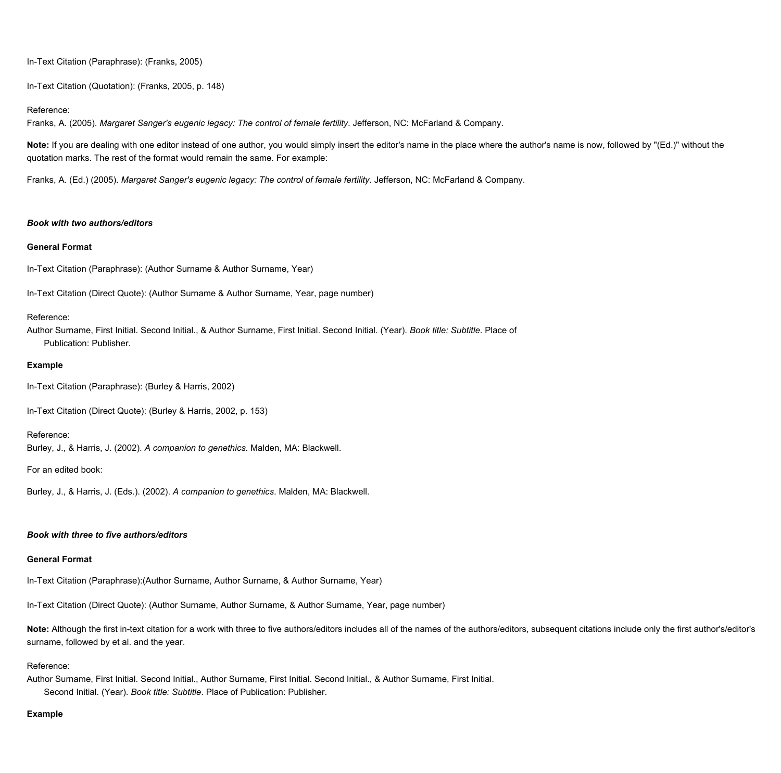**In-Text Citation (Paraphrase): (Franks, 2005)**

**In-Text Citation (Quotation): (Franks, 2005, p. 148)**

### **Reference:**

Franks, A. (2005). Margaret Sanger's eugenic legacy: The control of female fertility. Jefferson, NC: McFarland & Company.

Note: If you are dealing with one editor instead of one author, you would simply insert the editor's name in the place where the author's name is now, followed by "(Ed.)" without the **quotation marks. The rest of the format would remain the same. For example:**

Franks, A. (Ed.) (2005). Margaret Sanger's eugenic legacy: The control of female fertility. Jefferson, NC: McFarland & Company.

### *Book with two authors/editors*

#### **General Format**

**In-Text Citation (Paraphrase): (Author Surname & Author Surname, Year)**

**In-Text Citation (Direct Quote): (Author Surname & Author Surname, Year, page number)**

# **Reference:**

Author Surname, First Initial. Second Initial., & Author Surname, First Initial. Second Initial. (Year). Book title: Subtitle. Place of  **Publication: Publisher.**

#### **Example**

**In-Text Citation (Paraphrase): (Burley & Harris, 2002)**

**In-Text Citation (Direct Quote): (Burley & Harris, 2002, p. 153)**

#### **Reference:**

**Burley, J., & Harris, J. (2002).** *A companion to genethics***. Malden, MA: Blackwell.**

### **For an edited book:**

**Burley, J., & Harris, J. (Eds.). (2002).** *A companion to genethics***. Malden, MA: Blackwell.**

#### *Book with three to five authors/editors*

#### **General Format**

**In-Text Citation (Paraphrase):(Author Surname, Author Surname, & Author Surname, Year)**

**In-Text Citation (Direct Quote): (Author Surname, Author Surname, & Author Surname, Year, page number)**

Note: Although the first in-text citation for a work with three to five authors/editors includes all of the names of the authors/editors, subsequent citations include only the first author's/editor's **surname, followed by et al. and the year.**

# **Reference:**

Author Surname, First Initial. Second Initial., Author Surname, First Initial. Second Initial., & Author Surname, First Initial.  **Second Initial. (Year).** *Book title: Subtitle***. Place of Publication: Publisher.**

#### **Example**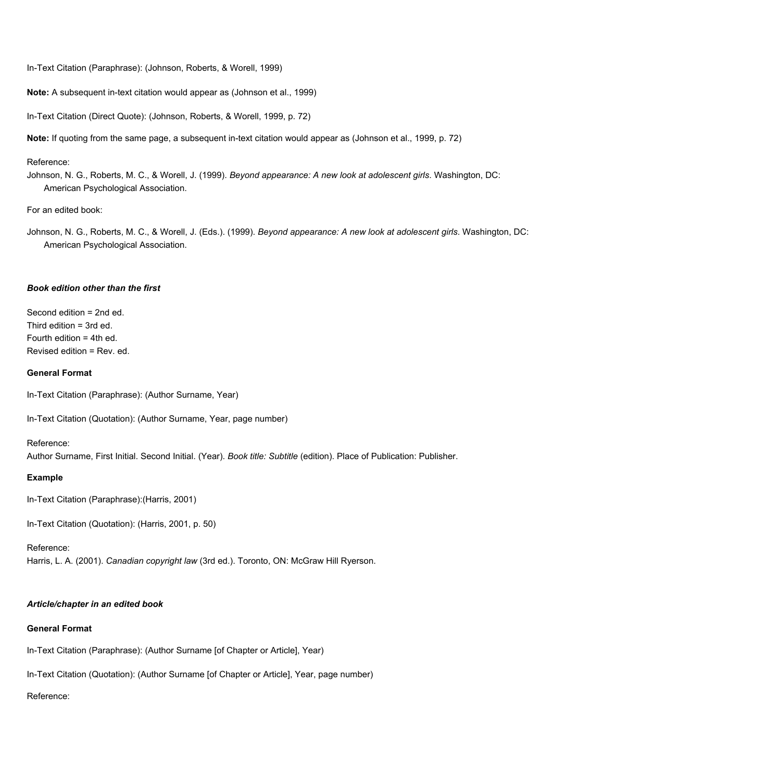**In-Text Citation (Paraphrase): (Johnson, Roberts, & Worell, 1999)**

**Note: A subsequent in-text citation would appear as (Johnson et al., 1999)**

**In-Text Citation (Direct Quote): (Johnson, Roberts, & Worell, 1999, p. 72)**

Note: If quoting from the same page, a subsequent in-text citation would appear as (Johnson et al., 1999, p. 72)

### **Reference:**

Johnson, N. G., Roberts, M. C., & Worell, J. (1999). Beyond appearance: A new look at adolescent girls. Washington, DC:  **American Psychological Association.**

# **For an edited book:**

Johnson, N. G., Roberts, M. C., & Worell, J. (Eds.). (1999). Beyond appearance: A new look at adolescent girls. Washington, DC:  **American Psychological Association.**

### *Book edition other than the first*

**Second edition = 2nd ed. Third edition = 3rd ed. Fourth edition = 4th ed. Revised edition = Rev. ed.**

### **General Format**

**In-Text Citation (Paraphrase): (Author Surname, Year)**

**In-Text Citation (Quotation): (Author Surname, Year, page number)**

### **Reference:**

**Author Surname, First Initial. Second Initial. (Year).** *Book title: Subtitle* **(edition). Place of Publication: Publisher.**

# **Example**

**In-Text Citation (Paraphrase):(Harris, 2001)**

**In-Text Citation (Quotation): (Harris, 2001, p. 50)**

### **Reference:**

**Harris, L. A. (2001).** *Canadian copyright law* **(3rd ed.). Toronto, ON: McGraw Hill Ryerson.**

### *Article/chapter in an edited book*

### **General Format**

**In-Text Citation (Paraphrase): (Author Surname [of Chapter or Article], Year)**

**In-Text Citation (Quotation): (Author Surname [of Chapter or Article], Year, page number)**

# **Reference:**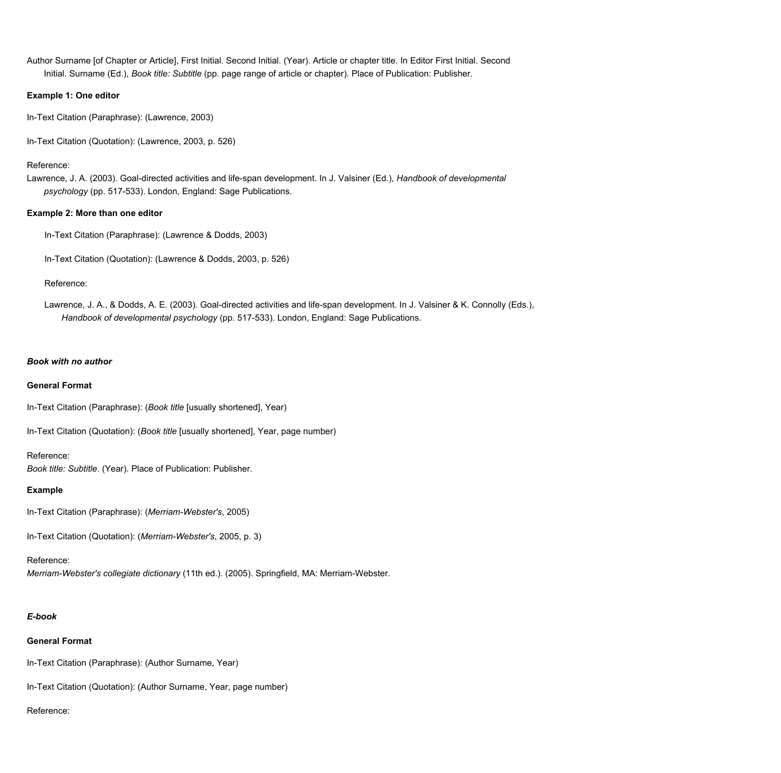Author Surname [of Chapter or Article], First Initial. Second Initial. (Year). Article or chapter title. In Editor First Initial. Second Initial. Surname (Ed.), Book title: Subtitle (pp. page range of article or chapter). Place of Publication: Publisher.

# **Example 1: One editor**

**In-Text Citation (Paraphrase): (Lawrence, 2003)**

**In-Text Citation (Quotation): (Lawrence, 2003, p. 526)**

### **Reference:**

Lawrence, J. A. (2003). Goal-directed activities and life-span development. In J. Valsiner (Ed.), Handbook of developmental  *psychology* **(pp. 517-533). London, England: Sage Publications.**

### **Example 2: More than one editor**

**In-Text Citation (Paraphrase): (Lawrence & Dodds, 2003)**

**In-Text Citation (Quotation): (Lawrence & Dodds, 2003, p. 526)**

### **Reference:**

Lawrence, J. A., & Dodds, A. E. (2003). Goal-directed activities and life-span development. In J. Valsiner & K. Connolly (Eds.), *Handbook of developmental psychology* **(pp. 517-533). London, England: Sage Publications.**

# *Book with no author*

# **General Format**

**In-Text Citation (Paraphrase): (***Book title* **[usually shortened], Year)**

**In-Text Citation (Quotation): (***Book title* **[usually shortened], Year, page number)**

**Reference:** *Book title: Subtitle***. (Year). Place of Publication: Publisher.**

### **Example**

**In-Text Citation (Paraphrase): (***Merriam-Webster's***, 2005)**

**In-Text Citation (Quotation): (***Merriam-Webster's***, 2005, p. 3)**

### **Reference:**

*Merriam-Webster's collegiate dictionary* **(11th ed.). (2005). Springfield, MA: Merriam-Webster.**

# *E-book*

# **General Format**

**In-Text Citation (Paraphrase): (Author Surname, Year)**

**In-Text Citation (Quotation): (Author Surname, Year, page number)**

# **Reference:**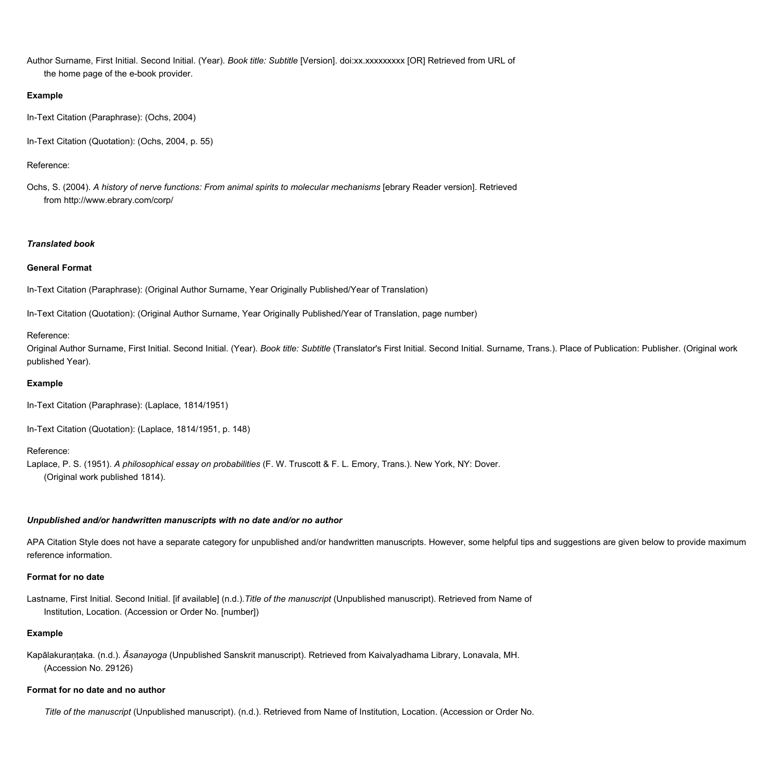Author Surname, First Initial. Second Initial. (Year). Book title: Subtitle [Version]. doi:xx.xxxxxxxx [OR] Retrieved from URL of  **the home page of the e-book provider.**

# **Example**

**In-Text Citation (Paraphrase): (Ochs, 2004)**

**In-Text Citation (Quotation): (Ochs, 2004, p. 55)**

# **Reference:**

Ochs, S. (2004). A history of nerve functions: From animal spirits to molecular mechanisms [ebrary Reader version]. Retrieved  **from http://www.ebrary.com/corp/**

# *Translated book*

# **General Format**

**In-Text Citation (Paraphrase): (Original Author Surname, Year Originally Published/Year of Translation)**

**In-Text Citation (Quotation): (Original Author Surname, Year Originally Published/Year of Translation, page number)**

# **Reference:**

Original Author Surname, First Initial. Second Initial. (Year). Book title: Subtitle (Translator's First Initial. Second Initial. Surname, Trans.). Place of Publication: Publisher. (Original work **published Year).**

### **Example**

**In-Text Citation (Paraphrase): (Laplace, 1814/1951)**

**In-Text Citation (Quotation): (Laplace, 1814/1951, p. 148)**

### **Reference:**

Laplace, P. S. (1951). A philosophical essay on probabilities (F. W. Truscott & F. L. Emory, Trans.). New York, NY: Dover.  **(Original work published 1814).**

### *Unpublished and/or handwritten manuscripts with no date and/or no author*

APA Citation Style does not have a separate category for unpublished and/or handwritten manuscripts. However, some helpful tips and suggestions are given below to provide maximum **reference information.**

# **Format for no date**

Lastname, First Initial. Second Initial. [if available] (n.d.). Title of the manuscript (Unpublished manuscript). Retrieved from Name of  **Institution, Location. (Accession or Order No. [number])**

# **Example**

**Kapālakuraṇṭaka. (n.d.).** *Āsanayoga* **(Unpublished Sanskrit manuscript). Retrieved from Kaivalyadhama Library, Lonavala, MH. (Accession No. 29126)**

### **Format for no date and no author**

Title of the manuscript (Unpublished manuscript). (n.d.). Retrieved from Name of Institution, Location. (Accession or Order No.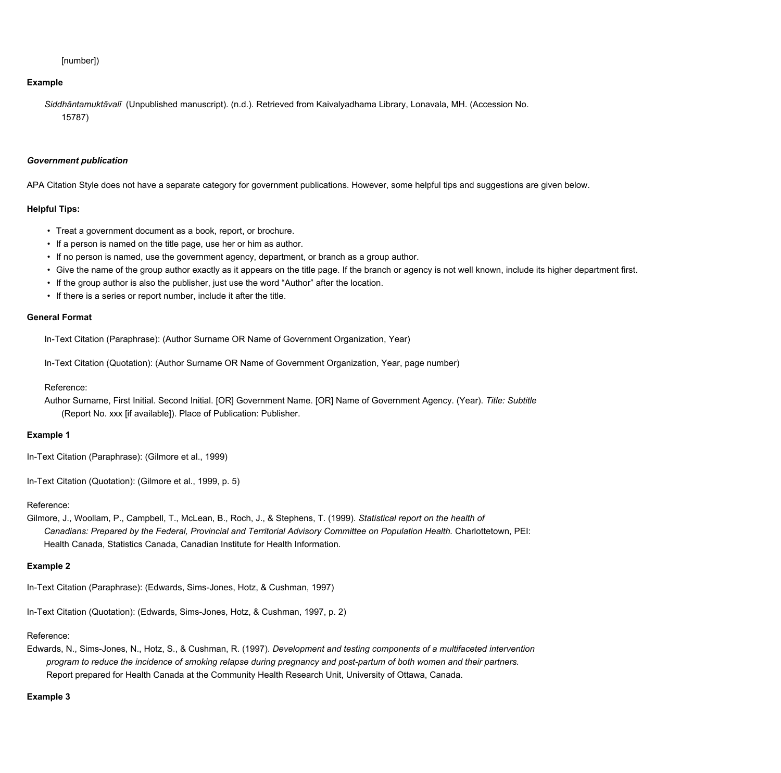### **[number])**

### **Example**

*Siddhāntamuktāvalī* **(Unpublished manuscript). (n.d.). Retrieved from Kaivalyadhama Library, Lonavala, MH. (Accession No. 15787)**

### *Government publication*

APA Citation Style does not have a separate category for government publications. However, some helpful tips and suggestions are given below.

### **Helpful Tips:**

- **• Treat a government document as a book, report, or brochure.**
- **• If a person is named on the title page, use her or him as author.**
- **• If no person is named, use the government agency, department, or branch as a group author.**
- Give the name of the group author exactly as it appears on the title page. If the branch or agency is not well known, include its higher department first.
- **• If the group author is also the publisher, just use the word "Author" after the location.**
- **• If there is a series or report number, include it after the title.**

# **General Format**

**In-Text Citation (Paraphrase): (Author Surname OR Name of Government Organization, Year)**

**In-Text Citation (Quotation): (Author Surname OR Name of Government Organization, Year, page number)**

# **Reference:**

Author Surname, First Initial. Second Initial. [OR] Government Name. [OR] Name of Government Agency. (Year). Title: Subtitle  **(Report No. xxx [if available]). Place of Publication: Publisher.**

### **Example 1**

**In-Text Citation (Paraphrase): (Gilmore et al., 1999)**

**In-Text Citation (Quotation): (Gilmore et al., 1999, p. 5)**

### **Reference:**

Gilmore, J., Woollam, P., Campbell, T., McLean, B., Roch, J., & Stephens, T. (1999). Statistical report on the health of Canadians: Prepared by the Federal, Provincial and Territorial Advisory Committee on Population Health. Charlottetown, PEI:  **Health Canada, Statistics Canada, Canadian Institute for Health Information.**

#### **Example 2**

**In-Text Citation (Paraphrase): (Edwards, Sims-Jones, Hotz, & Cushman, 1997)**

**In-Text Citation (Quotation): (Edwards, Sims-Jones, Hotz, & Cushman, 1997, p. 2)**

#### **Reference:**

Edwards, N., Sims-Jones, N., Hotz, S., & Cushman, R. (1997). Development and testing components of a multifaceted intervention program to reduce the incidence of smoking relapse during pregnancy and post-partum of both women and their partners. **Report prepared for Health Canada at the Community Health Research Unit, University of Ottawa, Canada.**

#### **Example 3**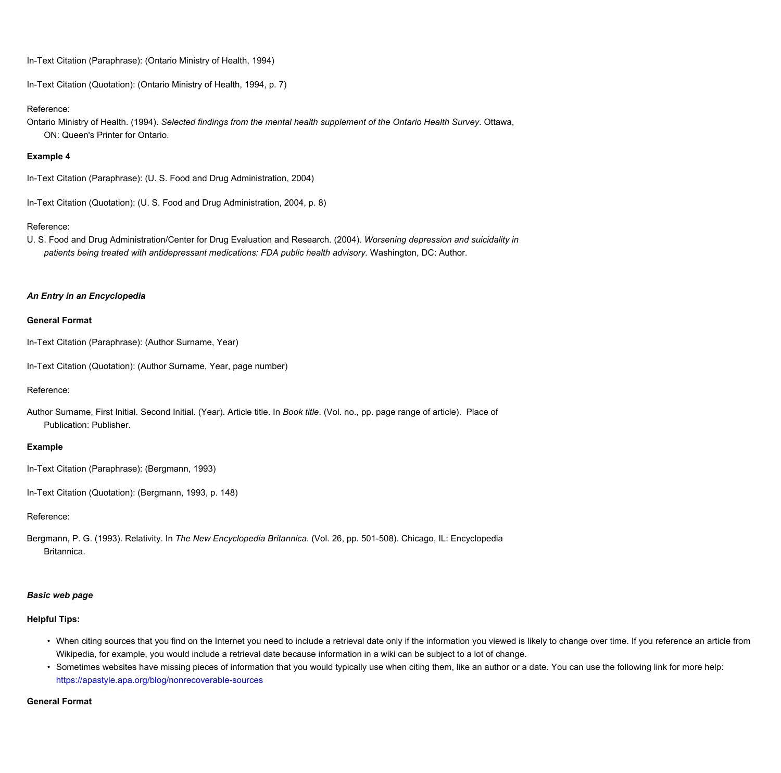**In-Text Citation (Paraphrase): (Ontario Ministry of Health, 1994)**

**In-Text Citation (Quotation): (Ontario Ministry of Health, 1994, p. 7)**

# **Reference:**

Ontario Ministry of Health. (1994). Selected findings from the mental health supplement of the Ontario Health Survey. Ottawa,  **ON: Queen's Printer for Ontario.**

### **Example 4**

**In-Text Citation (Paraphrase): (U. S. Food and Drug Administration, 2004)**

**In-Text Citation (Quotation): (U. S. Food and Drug Administration, 2004, p. 8)**

### **Reference:**

U. S. Food and Drug Administration/Center for Drug Evaluation and Research. (2004). Worsening depression and suicidality in  *patients being treated with antidepressant medications: FDA public health advisory.* **Washington, DC: Author.**

### *An Entry in an Encyclopedia*

### **General Format**

**In-Text Citation (Paraphrase): (Author Surname, Year)**

**In-Text Citation (Quotation): (Author Surname, Year, page number)**

### **Reference:**

Author Surname, First Initial. Second Initial. (Year). Article title. In Book title. (Vol. no., pp. page range of article). Place of  **Publication: Publisher.**

# **Example**

**In-Text Citation (Paraphrase): (Bergmann, 1993)**

**In-Text Citation (Quotation): (Bergmann, 1993, p. 148)**

# **Reference:**

Bergmann, P. G. (1993). Relativity. In The New Encyclopedia Britannica. (Vol. 26, pp. 501-508). Chicago, IL: Encyclopedia  **Britannica.**

### *Basic web page*

# **Helpful Tips:**

- When citing sources that you find on the Internet you need to include a retrieval date only if the information you viewed is likely to change over time. If you reference an article from Wikipedia, for example, you would include a retrieval date because information in a wiki can be subject to a lot of change.
- . Sometimes websites have missing pieces of information that you would typically use when citing them, like an author or a date. You can use the following link for more help: **<https://apastyle.apa.org/blog/nonrecoverable-sources>**

#### **General Format**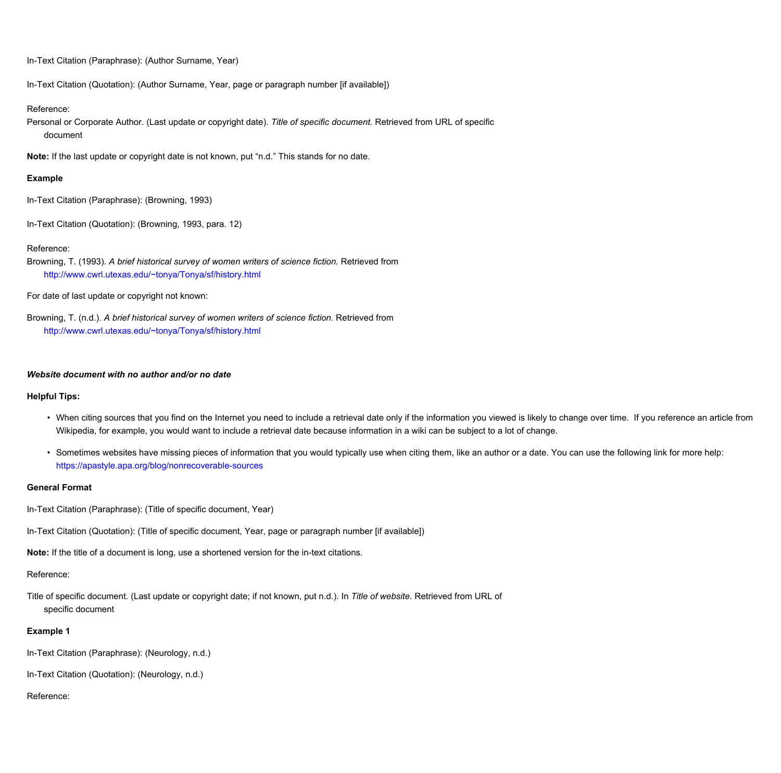**In-Text Citation (Paraphrase): (Author Surname, Year)**

**In-Text Citation (Quotation): (Author Surname, Year, page or paragraph number [if available])**

### **Reference:**

Personal or Corporate Author. (Last update or copyright date). Title of specific document. Retrieved from URL of specific  **document**

**Note: If the last update or copyright date is not known, put "n.d." This stands for no date.**

# **Example**

**In-Text Citation (Paraphrase): (Browning, 1993)**

**In-Text Citation (Quotation): (Browning, 1993, para. 12)**

### **Reference:**

**Browning, T. (1993).** *A brief historical survey of women writers of science fiction.* **Retrieved from <http://www.cwrl.utexas.edu/~tonya/Tonya/sf/history.html>**

**For date of last update or copyright not known:**

**Browning, T. (n.d.).** *A brief historical survey of women writers of science fiction.* **Retrieved from <http://www.cwrl.utexas.edu/~tonya/Tonya/sf/history.html>**

### *Website document with no author and/or no date*

### **Helpful Tips:**

- When citing sources that you find on the Internet you need to include a retrieval date only if the information you viewed is likely to change over time. If you reference an article from Wikipedia, for example, you would want to include a retrieval date because information in a wiki can be subject to a lot of change.
- . Sometimes websites have missing pieces of information that you would typically use when citing them, like an author or a date. You can use the following link for more help: **<https://apastyle.apa.org/blog/nonrecoverable-sources>**

### **General Format**

**In-Text Citation (Paraphrase): (Title of specific document, Year)**

**In-Text Citation (Quotation): (Title of specific document, Year, page or paragraph number [if available])**

**Note: If the title of a document is long, use a shortened version for the in-text citations.**

# **Reference:**

Title of specific document. (Last update or copyright date; if not known, put n.d.). In Title of website. Retrieved from URL of  **specific document**

### **Example 1**

**In-Text Citation (Paraphrase): (Neurology, n.d.)**

**In-Text Citation (Quotation): (Neurology, n.d.)**

### **Reference:**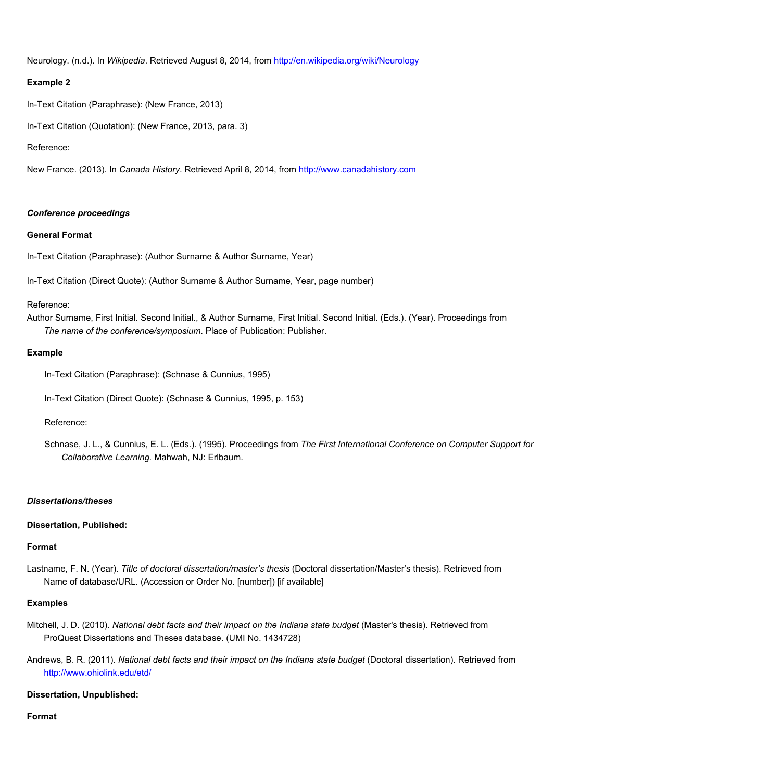**Neurology. (n.d.). In** *Wikipedia***. Retrieved August 8, 2014, from [http://en.wikipedia.org/wiki/Neurology](https://en.wikipedia.org/wiki/Neurology)**

# **Example 2**

**In-Text Citation (Paraphrase): (New France, 2013)**

**In-Text Citation (Quotation): (New France, 2013, para. 3)**

### **Reference:**

**New France. (2013). In** *Canada History***. Retrieved April 8, 2014, from<http://www.canadahistory.com>**

### *Conference proceedings*

### **General Format**

**In-Text Citation (Paraphrase): (Author Surname & Author Surname, Year)**

**In-Text Citation (Direct Quote): (Author Surname & Author Surname, Year, page number)**

# **Reference:**

Author Surname, First Initial. Second Initial., & Author Surname, First Initial. Second Initial. (Eds.). (Year). Proceedings from *The name of the conference/symposium***. Place of Publication: Publisher.**

### **Example**

**In-Text Citation (Paraphrase): (Schnase & Cunnius, 1995)**

**In-Text Citation (Direct Quote): (Schnase & Cunnius, 1995, p. 153)**

### **Reference:**

Schnase, J. L., & Cunnius, E. L. (Eds.). (1995). Proceedings from The First International Conference on Computer Support for  *Collaborative Learning.* **Mahwah, NJ: Erlbaum.**

### *Dissertations/theses*

#### **Dissertation, Published:**

# **Format**

**Lastname, F. N. (Year).** *Title of doctoral dissertation/master's thesis* **(Doctoral dissertation/Master's thesis). Retrieved from Name of database/URL. (Accession or Order No. [number]) [if available]**

### **Examples**

- Mitchell, J. D. (2010). National debt facts and their impact on the Indiana state budget (Master's thesis). Retrieved from  **ProQuest Dissertations and Theses database. (UMI No. 1434728)**
- Andrews, B. R. (2011). National debt facts and their impact on the Indiana state budget (Doctoral dissertation). Retrieved from  **<http://www.ohiolink.edu/etd/>**

## **Dissertation, Unpublished:**

# **Format**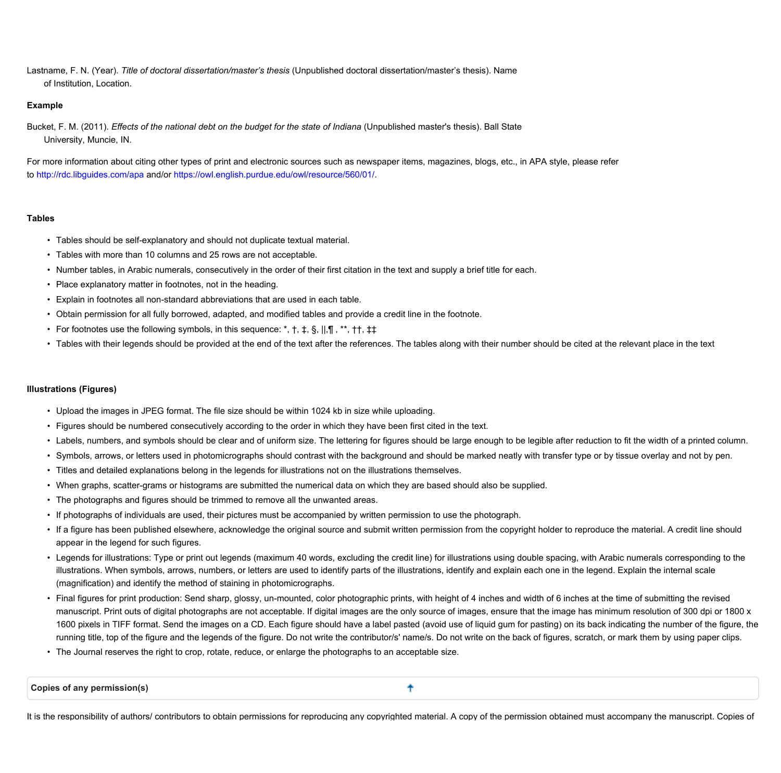Lastname, F. N. (Year). Title of doctoral dissertation/master's thesis (Unpublished doctoral dissertation/master's thesis). Name  **of Institution, Location.**

# **Example**

Bucket, F. M. (2011). Effects of the national debt on the budget for the state of Indiana (Unpublished master's thesis). Ball State  **University, Muncie, IN.**

For more information about citing other types of print and electronic sources such as newspaper items, magazines, blogs, etc., in APA style, please refer **to <http://rdc.libguides.com/apa>and/or [https://owl.english.purdue.edu/owl/resource/560/01/.](https://owl.english.purdue.edu/owl/resource/560/01/)**

# **Tables**

- **• Tables should be self-explanatory and should not duplicate textual material.**
- **• Tables with more than 10 columns and 25 rows are not acceptable.**
- Number tables, in Arabic numerals, consecutively in the order of their first citation in the text and supply a brief title for each.
- **• Place explanatory matter in footnotes, not in the heading.**
- **• Explain in footnotes all non-standard abbreviations that are used in each table.**
- Obtain permission for all fully borrowed, adapted, and modified tables and provide a credit line in the footnote.
- **• For footnotes use the following symbols, in this sequence: \*, †, ‡, §, ||,¶ , \*\*, ††, ‡‡**
- · Tables with their legends should be provided at the end of the text after the references. The tables along with their number should be cited at the relevant place in the text

# **Illustrations (Figures)**

- Upload the images in JPEG format. The file size should be within 1024 kb in size while uploading.
- Figures should be numbered consecutively according to the order in which they have been first cited in the text.
- Labels, numbers, and symbols should be clear and of uniform size. The lettering for figures should be large enough to be legible after reduction to fit the width of a printed column.
- . Symbols, arrows, or letters used in photomicrographs should contrast with the background and should be marked neatly with transfer type or by tissue overlay and not by pen.
- **• Titles and detailed explanations belong in the legends for illustrations not on the illustrations themselves.**
- When graphs, scatter-grams or histograms are submitted the numerical data on which they are based should also be supplied.
- **• The photographs and figures should be trimmed to remove all the unwanted areas.**
- If photographs of individuals are used, their pictures must be accompanied by written permission to use the photograph.
- If a figure has been published elsewhere, acknowledge the original source and submit written permission from the copyright holder to reproduce the material. A credit line should **appear in the legend for such figures.**
- Legends for illustrations: Type or print out legends (maximum 40 words, excluding the credit line) for illustrations using double spacing, with Arabic numerals corresponding to the illustrations. When symbols, arrows, numbers, or letters are used to identify parts of the illustrations, identify and explain each one in the legend. Explain the internal scale **(magnification) and identify the method of staining in photomicrographs.**
- Final figures for print production: Send sharp, glossy, un-mounted, color photographic prints, with height of 4 inches and width of 6 inches at the time of submitting the revised manuscript. Print outs of digital photographs are not acceptable. If digital images are the only source of images, ensure that the image has minimum resolution of 300 dpi or 1800 x 1600 pixels in TIFF format. Send the images on a CD. Each figure should have a label pasted (avoid use of liquid gum for pasting) on its back indicating the number of the figure, the running title, top of the figure and the legends of the figure. Do not write the contributor/s' name/s. Do not write on the back of figures, scratch, or mark them by using paper clips.
- The Journal reserves the right to crop, rotate, reduce, or enlarge the photographs to an acceptable size.

<span id="page-14-0"></span>

| Copies of any permission(s) |  |
|-----------------------------|--|
|                             |  |

It is the responsibility of authors/ contributors to obtain permissions for reproducing any copyrighted material. A copy of the permission obtained must accompany the manuscript. Copies of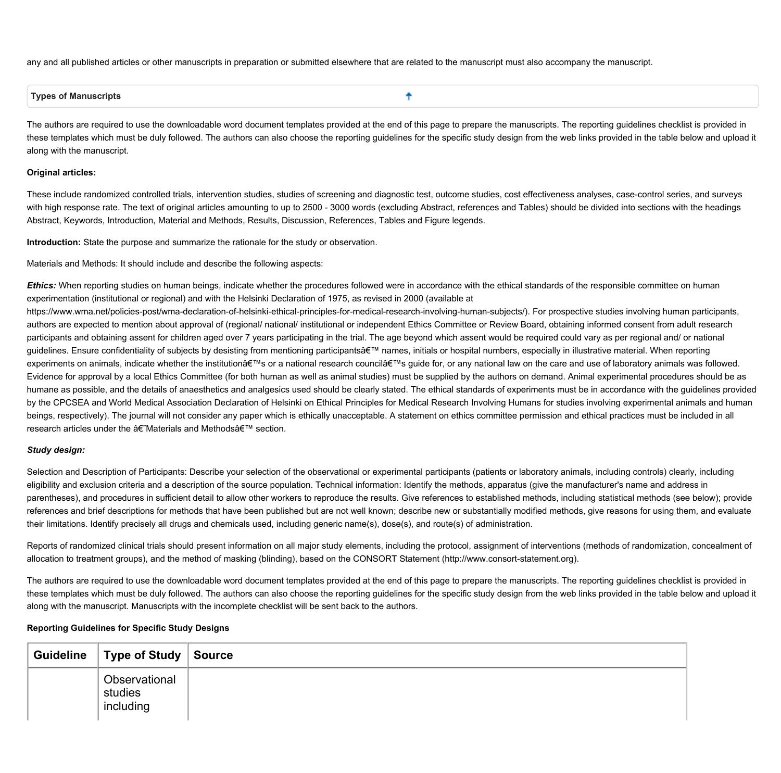any and all published articles or other manuscripts in preparation or submitted elsewhere that are related to the manuscript must also accompany the manuscript.

<span id="page-15-0"></span>

| <b>Types of Manuscripts</b><br>. . |  |
|------------------------------------|--|
|                                    |  |

The authors are required to use the downloadable word document templates provided at the end of this page to prepare the manuscripts. The reporting quidelines checklist is provided in these templates which must be duly followed. The authors can also choose the reporting guidelines for the specific study design from the web links provided in the table below and upload it **along with the manuscript.**

# **Original articles:**

These include randomized controlled trials, intervention studies, studies of screening and diagnostic test, outcome studies, cost effectiveness analyses, case-control series, and surveys with high response rate. The text of original articles amounting to up to 2500 - 3000 words (excluding Abstract, references and Tables) should be divided into sections with the headings **Abstract, Keywords, Introduction, Material and Methods, Results, Discussion, References, Tables and Figure legends.**

**Introduction: State the purpose and summarize the rationale for the study or observation.**

**Materials and Methods: It should include and describe the following aspects:**

Ethics: When reporting studies on human beings, indicate whether the procedures followed were in accordance with the ethical standards of the responsible committee on human experimentation (institutional or regional) and with the Helsinki Declaration of 1975, as revised in 2000 (available at

https://www.wma.net/policies-post/wma-declaration-of-helsinki-ethical-principles-for-medical-research-involving-human-subjects/). For prospective studies involving human participants, authors are expected to mention about approval of (regional/ national/ institutional or independent Ethics Committee or Review Board, obtaining informed consent from adult research participants and obtaining assent for children aged over 7 years participating in the trial. The age beyond which assent would be required could vary as per regional and/ or national guidelines. Ensure confidentiality of subjects by desisting from mentioning participants' names, initials or hospital numbers, especially in illustrative material. When reporting experiments on animals, indicate whether the institution's or a national research council's guide for, or any national law on the care and use of laboratory animals was followed. Evidence for approval by a local Ethics Committee (for both human as well as animal studies) must be supplied by the authors on demand. Animal experimental procedures should be as humane as possible, and the details of anaesthetics and analgesics used should be clearly stated. The ethical standards of experiments must be in accordance with the quidelines provided by the CPCSEA and World Medical Association Declaration of Helsinki on Ethical Principles for Medical Research Involving Humans for studies involving experimental animals and human beings, respectively). The journal will not consider any paper which is ethically unacceptable. A statement on ethics committee permission and ethical practices must be included in all **research articles under the †Materials and Methods †™ section.** 

# *Study design:*

Selection and Description of Participants: Describe your selection of the observational or experimental participants (patients or laboratory animals, including controls) clearly, including eligibility and exclusion criteria and a description of the source population. Technical information: Identify the methods, apparatus (give the manufacturer's name and address in parentheses), and procedures in sufficient detail to allow other workers to reproduce the results. Give references to established methods, including statistical methods (see below); provide references and brief descriptions for methods that have been published but are not well known; describe new or substantially modified methods, give reasons for using them, and evaluate their limitations. Identify precisely all drugs and chemicals used, including generic name(s), dose(s), and route(s) of administration.

Reports of randomized clinical trials should present information on all major study elements, including the protocol, assignment of interventions (methods of randomization, concealment of allocation to treatment groups), and the method of masking (blinding), based on the CONSORT Statement (http://www.consort-statement.org).

The authors are required to use the downloadable word document templates provided at the end of this page to prepare the manuscripts. The reporting guidelines checklist is provided in these templates which must be duly followed. The authors can also choose the reporting guidelines for the specific study design from the web links provided in the table below and upload it **along with the manuscript. Manuscripts with the incomplete checklist will be sent back to the authors.**

# **Reporting Guidelines for Specific Study Designs**

| <b>Guideline</b> | │ Type of Study │ Source              |  |
|------------------|---------------------------------------|--|
|                  | Observational<br>studies<br>including |  |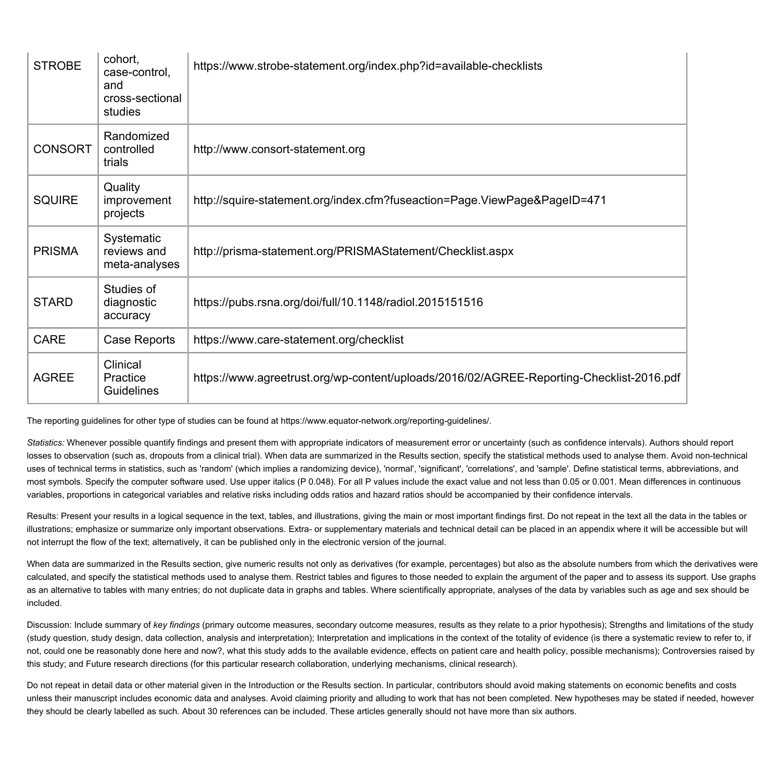| <b>STROBE</b>                                                           | cohort,<br>case-control,<br>and<br>cross-sectional<br>studies | https://www.strobe-statement.org/index.php?id=available-checklists                                                     |  |
|-------------------------------------------------------------------------|---------------------------------------------------------------|------------------------------------------------------------------------------------------------------------------------|--|
| <b>CONSORT</b>                                                          | Randomized<br>controlled<br>trials                            | http://www.consort-statement.org<br>http://squire-statement.org/index.cfm?fuseaction=Page.ViewPage&PageID=471          |  |
| <b>SQUIRE</b>                                                           | Quality<br>improvement<br>projects                            |                                                                                                                        |  |
| <b>PRISMA</b>                                                           | Systematic<br>reviews and<br>meta-analyses                    | http://prisma-statement.org/PRISMAStatement/Checklist.aspx<br>https://pubs.rsna.org/doi/full/10.1148/radiol.2015151516 |  |
| <b>STARD</b>                                                            | Studies of<br>diagnostic<br>accuracy                          |                                                                                                                        |  |
| <b>CARE</b><br>Case Reports<br>https://www.care-statement.org/checklist |                                                               |                                                                                                                        |  |
| Clinical<br><b>AGREE</b><br>Practice<br><b>Guidelines</b>               |                                                               | https://www.agreetrust.org/wp-content/uploads/2016/02/AGREE-Reporting-Checklist-2016.pdf                               |  |

**The reporting guidelines for other type of studies can be found at https://www.equator-network.org/reporting-guidelines/.**

Statistics: Whenever possible quantify findings and present them with appropriate indicators of measurement error or uncertainty (such as confidence intervals). Authors should report losses to observation (such as, dropouts from a clinical trial). When data are summarized in the Results section, specify the statistical methods used to analyse them. Avoid non-technical uses of technical terms in statistics, such as 'random' (which implies a randomizing device), 'normal', 'significant', 'correlations', and 'sample'. Define statistical terms, abbreviations, and most symbols. Specify the computer software used. Use upper italics (P 0.048). For all P values include the exact value and not less than 0.05 or 0.001. Mean differences in continuous variables, proportions in categorical variables and relative risks including odds ratios and hazard ratios should be accompanied by their confidence intervals.

Results: Present your results in a logical sequence in the text, tables, and illustrations, giving the main or most important findings first. Do not repeat in the text all the data in the tables or illustrations; emphasize or summarize only important observations. Extra- or supplementary materials and technical detail can be placed in an appendix where it will be accessible but will not interrupt the flow of the text; alternatively, it can be published only in the electronic version of the journal.

When data are summarized in the Results section, give numeric results not only as derivatives (for example, percentages) but also as the absolute numbers from which the derivatives were calculated, and specify the statistical methods used to analyse them. Restrict tables and figures to those needed to explain the argument of the paper and to assess its support. Use graphs as an alternative to tables with many entries; do not duplicate data in graphs and tables. Where scientifically appropriate, analyses of the data by variables such as age and sex should be **included.**

Discussion: Include summary of key findings (primary outcome measures, secondary outcome measures, results as they relate to a prior hypothesis); Strengths and limitations of the study (study question, study design, data collection, analysis and interpretation); Interpretation and implications in the context of the totality of evidence (is there a systematic review to refer to, if not, could one be reasonably done here and now?, what this study adds to the available evidence, effects on patient care and health policy, possible mechanisms); Controversies raised by this study; and Future research directions (for this particular research collaboration, underlying mechanisms, clinical research).

Do not repeat in detail data or other material given in the Introduction or the Results section. In particular, contributors should avoid making statements on economic benefits and costs unless their manuscript includes economic data and analyses. Avoid claiming priority and alluding to work that has not been completed. New hypotheses may be stated if needed, however they should be clearly labelled as such. About 30 references can be included. These articles generally should not have more than six authors.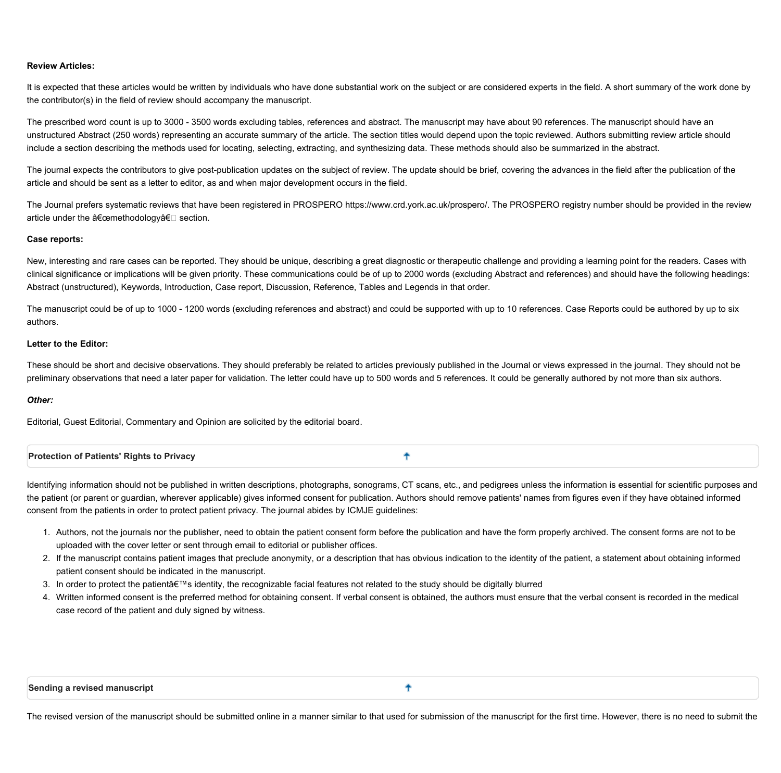# **Review Articles:**

It is expected that these articles would be written by individuals who have done substantial work on the subject or are considered experts in the field. A short summary of the work done by **the contributor(s) in the field of review should accompany the manuscript.**

The prescribed word count is up to 3000 - 3500 words excluding tables, references and abstract. The manuscript may have about 90 references. The manuscript should have an unstructured Abstract (250 words) representing an accurate summary of the article. The section titles would depend upon the topic reviewed. Authors submitting review article should include a section describing the methods used for locating, selecting, extracting, and synthesizing data. These methods should also be summarized in the abstract.

The journal expects the contributors to give post-publication updates on the subject of review. The update should be brief, covering the advances in the field after the publication of the article and should be sent as a letter to editor, as and when major development occurs in the field.

The Journal prefers systematic reviews that have been registered in PROSPERO https://www.crd.york.ac.uk/prospero/. The PROSPERO registry number should be provided in the review **article** under the "methodologyâ€□ section.

#### **Case reports:**

New, interesting and rare cases can be reported. They should be unique, describing a great diagnostic or therapeutic challenge and providing a learning point for the readers. Cases with clinical significance or implications will be given priority. These communications could be of up to 2000 words (excluding Abstract and references) and should have the following headings: **Abstract (unstructured), Keywords, Introduction, Case report, Discussion, Reference, Tables and Legends in that order.**

The manuscript could be of up to 1000 - 1200 words (excluding references and abstract) and could be supported with up to 10 references. Case Reports could be authored by up to six **authors.**

# **Letter to the Editor:**

These should be short and decisive observations. They should preferably be related to articles previously published in the Journal or views expressed in the journal. They should not be preliminary observations that need a later paper for validation. The letter could have up to 500 words and 5 references. It could be generally authored by not more than six authors.

#### *Other:*

**Editorial, Guest Editorial, Commentary and Opinion are solicited by the editorial board.**

<span id="page-17-0"></span>

| <b>Protection of Patients' Rights to Privacy</b> |  |
|--------------------------------------------------|--|
|--------------------------------------------------|--|

Identifying information should not be published in written descriptions, photographs, sonograms, CT scans, etc., and pedigrees unless the information is essential for scientific purposes and the patient (or parent or guardian, wherever applicable) gives informed consent for publication. Authors should remove patients' names from figures even if they have obtained informed **consent from the patients in order to protect patient privacy. The journal abides by ICMJE guidelines:**

- 1. Authors, not the journals nor the publisher, need to obtain the patient consent form before the publication and have the form properly archived. The consent forms are not to be **uploaded with the cover letter or sent through email to editorial or publisher offices.**
- 2. If the manuscript contains patient images that preclude anonymity, or a description that has obvious indication to the identity of the patient, a statement about obtaining informed **patient consent should be indicated in the manuscript.**
- 3. In order to protect the patient's identity, the recognizable facial features not related to the study should be digitally blurred
- 4. Written informed consent is the preferred method for obtaining consent. If verbal consent is obtained, the authors must ensure that the verbal consent is recorded in the medical **case record of the patient and duly signed by witness.**

<span id="page-17-1"></span>The revised version of the manuscript should be submitted online in a manner similar to that used for submission of the manuscript for the first time. However, there is no need to submit the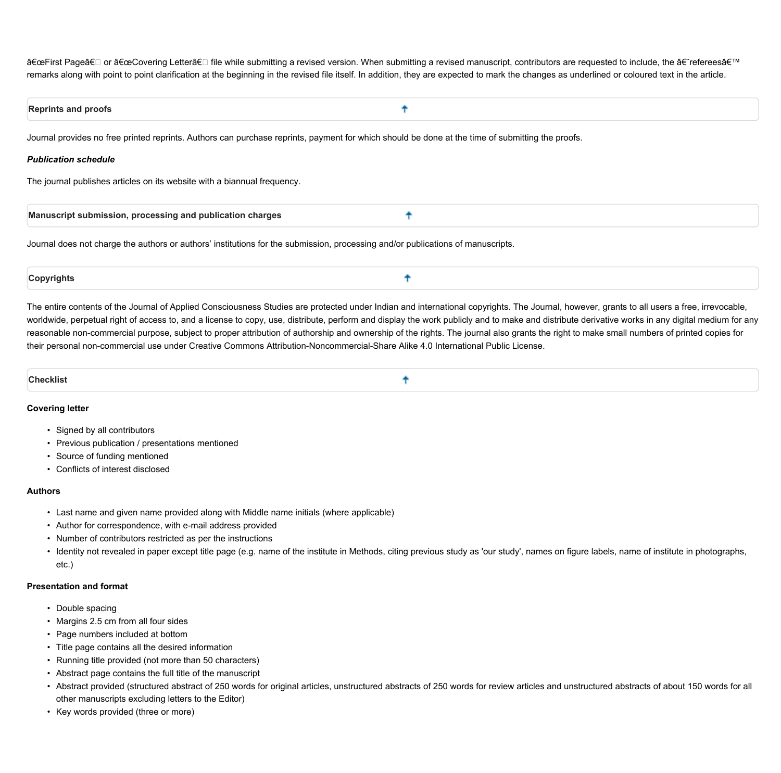"First Pageâ€□ or "Covering Letterâ€□ file while submitting a revised version. When submitting a revised manuscript, contributors are requested to include, the â€"referees' remarks along with point to point clarification at the beginning in the revised file itself. In addition, they are expected to mark the changes as underlined or coloured text in the article.

<span id="page-18-0"></span>

| <b>Reprints and proofs</b> |  |
|----------------------------|--|

Journal provides no free printed reprints. Authors can purchase reprints, payment for which should be done at the time of submitting the proofs.

### *Publication schedule*

**The journal publishes articles on its website with a biannual frequency.**

**Manuscript submission, processing and publication charges**

Journal does not charge the authors or authors' institutions for the submission, processing and/or publications of manuscripts.

<span id="page-18-1"></span>

| Copyrights |  |
|------------|--|
|            |  |

4

The entire contents of the Journal of Applied Consciousness Studies are protected under Indian and international copyrights. The Journal, however, grants to all users a free, irrevocable, worldwide, perpetual right of access to, and a license to copy, use, distribute, perform and display the work publicly and to make and distribute derivative works in any digital medium for any reasonable non-commercial purpose, subject to proper attribution of authorship and ownership of the rights. The journal also grants the right to make small numbers of printed copies for **their personal non-commercial use under Creative Commons Attribution-Noncommercial-Share Alike 4.0 International Public License.**

<span id="page-18-2"></span>

| <b>Checklist</b> |  |
|------------------|--|
|                  |  |

# **Covering letter**

- **• Signed by all contributors**
- **• Previous publication / presentations mentioned**
- **• Source of funding mentioned**
- **• Conflicts of interest disclosed**

# **Authors**

- **• Last name and given name provided along with Middle name initials (where applicable)**
- **• Author for correspondence, with e-mail address provided**
- **• Number of contributors restricted as per the instructions**
- Identity not revealed in paper except title page (e.g. name of the institute in Methods, citing previous study as 'our study', names on figure labels, name of institute in photographs, **etc.)**

### **Presentation and format**

- **• Double spacing**
- **• Margins 2.5 cm from all four sides**
- **• Page numbers included at bottom**
- **• Title page contains all the desired information**
- **• Running title provided (not more than 50 characters)**
- **• Abstract page contains the full title of the manuscript**
- Abstract provided (structured abstract of 250 words for original articles, unstructured abstracts of 250 words for review articles and unstructured abstracts of about 150 words for all **other manuscripts excluding letters to the Editor)**
- **• Key words provided (three or more)**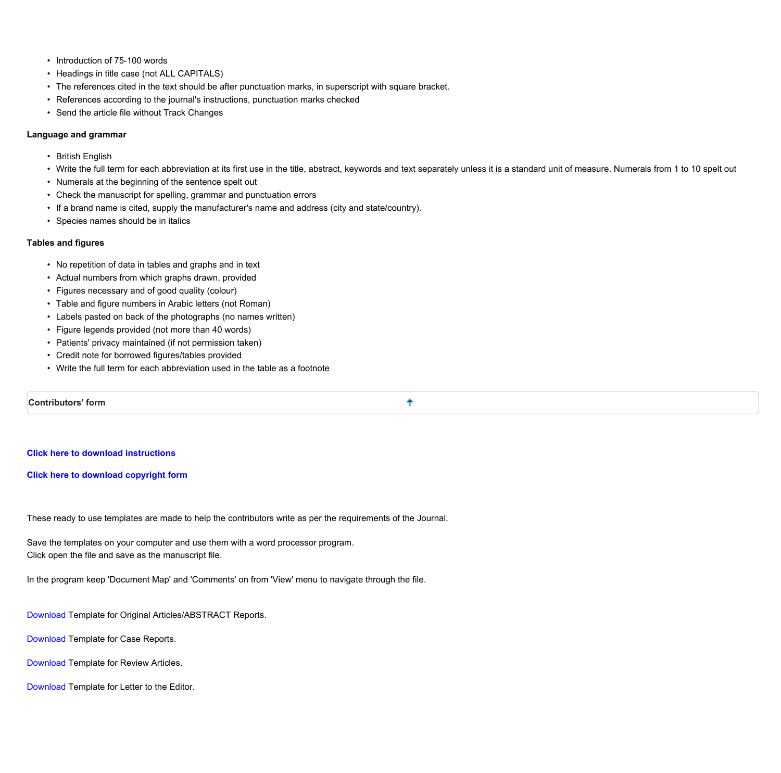- **• Introduction of 75-100 words**
- **• Headings in title case (not ALL CAPITALS)**
- **• The references cited in the text should be after punctuation marks, in superscript with square bracket.**
- **• References according to the journal's instructions, punctuation marks checked**
- **• Send the article file without Track Changes**

# **Language and grammar**

- **• British English**
- Write the full term for each abbreviation at its first use in the title, abstract, keywords and text separately unless it is a standard unit of measure. Numerals from 1 to 10 spelt out
- **• Numerals at the beginning of the sentence spelt out**
- **• Check the manuscript for spelling, grammar and punctuation errors**
- **• If a brand name is cited, supply the manufacturer's name and address (city and state/country).**
- **• Species names should be in italics**

# **Tables and figures**

- **• No repetition of data in tables and graphs and in text**
- **• Actual numbers from which graphs drawn, provided**
- **• Figures necessary and of good quality (colour)**
- **• Table and figure numbers in Arabic letters (not Roman)**
- **• Labels pasted on back of the photographs (no names written)**
- **• Figure legends provided (not more than 40 words)**
- **• Patients' privacy maintained (if not permission taken)**
- **• Credit note for borrowed figures/tables provided**
- **• Write the full term for each abbreviation used in the table as a footnote**

<span id="page-19-0"></span>**Contributors' form**

Ť

#### **[Click](http://jacsonline.in/cptext/instructions.pdf) [here](http://jacsonline.in/cptext/instructions.pdf) [to](http://jacsonline.in/cptext/instructions.pdf) [download](http://jacsonline.in/cptext/instructions.pdf) [instructions](http://jacsonline.in/cptext/instructions.pdf)**

**[Click](http://jacsonline.in/documents/copyright.doc) [here](http://jacsonline.in/documents/copyright.doc) [to](http://jacsonline.in/documents/copyright.doc) [download](http://jacsonline.in/documents/copyright.doc) [copyright](http://jacsonline.in/documents/copyright.doc) [form](http://jacsonline.in/documents/copyright.doc)**

These ready to use templates are made to help the contributors write as per the requirements of the Journal.

**Save the templates on your computer and use them with a word processor program. Click open the file and save as the manuscript file.**

**In the program keep 'Document Map' and 'Comments' on from 'View' menu to navigate through the file.** 

**[Download](http://jacsonline.in/documents/OriginalArticle.dot) Template for Original Articles/ABSTRACT Reports.**

**[Download](http://jacsonline.in/documents/CaseReport.dot) Template for Case Reports.**

**[Download](http://jacsonline.in/documents/ReviewArticle.dot) Template for Review Articles.**

**[Download](http://jacsonline.in/documents/Letter.dot) Template for Letter to the Editor.**